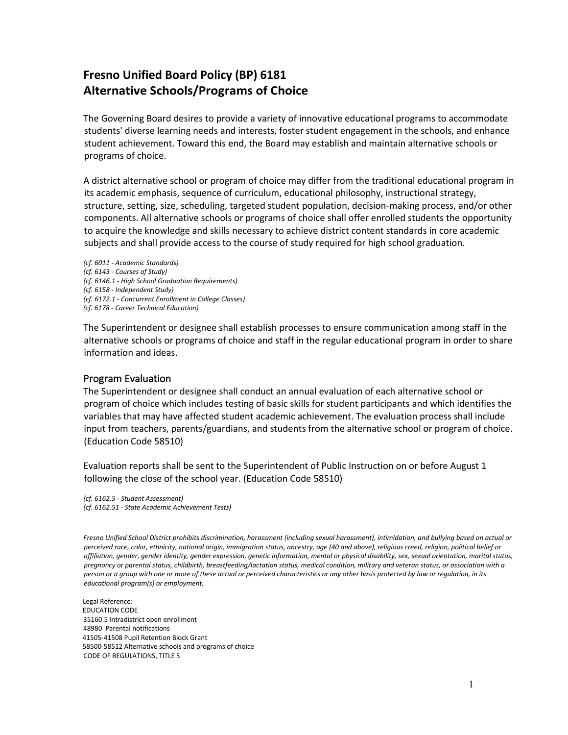## **Fresno Unified Board Policy (BP) 6181 Alternative Schools/Programs of Choice**

The Governing Board desires to provide a variety of innovative educational programs to accommodate students' diverse learning needs and interests, foster student engagement in the schools, and enhance student achievement. Toward this end, the Board may establish and maintain alternative schools or programs of choice.

A district alternative school or program of choice may differ from the traditional educational program in its academic emphasis, sequence of curriculum, educational philosophy, instructional strategy, structure, setting, size, scheduling, targeted student population, decision-making process, and/or other components. All alternative schools or programs of choice shall offer enrolled students the opportunity to acquire the knowledge and skills necessary to achieve district content standards in core academic subjects and shall provide access to the course of study required for high school graduation.

*(cf. 6011 - Academic Standards) (cf. 6143 - Courses of Study) (cf. 6146.1 - High School Graduation Requirements) (cf. 6158 - Independent Study) (cf. 6172.1 - Concurrent Enrollment in College Classes) (cf. 6178 - Career Technical Education)*

The Superintendent or designee shall establish processes to ensure communication among staff in the alternative schools or programs of choice and staff in the regular educational program in order to share information and ideas.

## Program Evaluation

The Superintendent or designee shall conduct an annual evaluation of each alternative school or program of choice which includes testing of basic skills for student participants and which identifies the variables that may have affected student academic achievement. The evaluation process shall include input from teachers, parents/guardians, and students from the alternative school or program of choice. (Education Code 58510)

Evaluation reports shall be sent to the Superintendent of Public Instruction on or before August 1 following the close of the school year. (Education Code 58510)

*(cf. 6162.5 - Student Assessment) (cf. 6162.51 - State Academic Achievement Tests)*

*Fresno Unified School District prohibits discrimination, harassment (including sexual harassment), intimidation, and bullying based on actual or perceived race, color, ethnicity, national origin, immigration status, ancestry, age (40 and above), religious creed, religion, political belief or affiliation, gender, gender identity, gender expression, genetic information, mental or physical disability, sex, sexual orientation, marital status, pregnancy or parental status, childbirth, breastfeeding/lactation status, medical condition, military and veteran status, or association with a person or a group with one or more of these actual or perceived characteristics or any other basis protected by law or regulation, in its educational program(s) or employment.*

Legal Reference: EDUCATION CODE 35160.5 Intradistrict open enrollment 48980 Parental notifications 41505-41508 Pupil Retention Block Grant 58500-58512 Alternative schools and programs of choice CODE OF REGULATIONS, TITLE 5